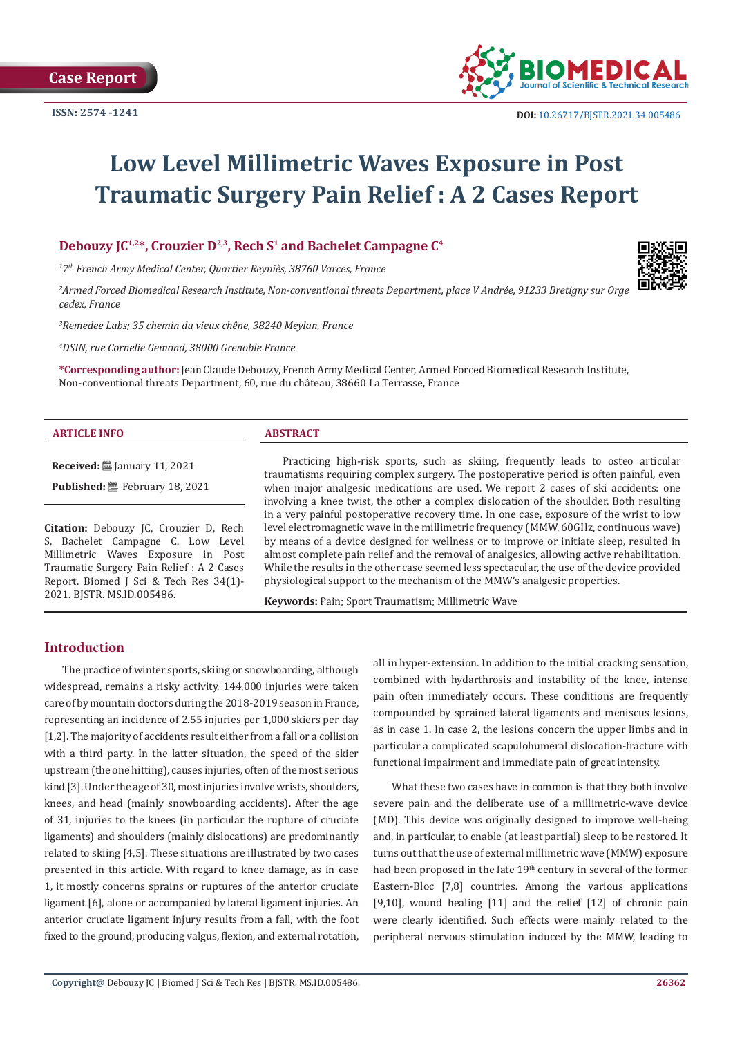**Case Report**



# **Low Level Millimetric Waves Exposure in Post Traumatic Surgery Pain Relief : A 2 Cases Report**

# **Debouzy JC1,2\*, Crouzier D2,3, Rech S1 and Bachelet Campagne C4**

*1 7th French Army Medical Center, Quartier Reyniès, 38760 Varces, France*

*2 Armed Forced Biomedical Research Institute, Non-conventional threats Department, place V Andrée, 91233 Bretigny sur Orge cedex, France*

*3 Remedee Labs; 35 chemin du vieux chêne, 38240 Meylan, France*

*4 DSIN, rue Cornelie Gemond, 38000 Grenoble France*

**\*Corresponding author:** Jean Claude Debouzy, French Army Medical Center, Armed Forced Biomedical Research Institute, Non-conventional threats Department, 60, rue du château, 38660 La Terrasse, France

#### **ARTICLE INFO ABSTRACT**

**Received:** ■ January 11, 2021 Published: **■**February 18, 2021

**Citation:** Debouzy JC, Crouzier D, Rech S, Bachelet Campagne C. Low Level Millimetric Waves Exposure in Post Traumatic Surgery Pain Relief : A 2 Cases Report. Biomed J Sci & Tech Res 34(1)- 2021. BJSTR. MS.ID.005486.

Practicing high-risk sports, such as skiing, frequently leads to osteo articular traumatisms requiring complex surgery. The postoperative period is often painful, even when major analgesic medications are used. We report 2 cases of ski accidents: one involving a knee twist, the other a complex dislocation of the shoulder. Both resulting in a very painful postoperative recovery time. In one case, exposure of the wrist to low level electromagnetic wave in the millimetric frequency (MMW, 60GHz, continuous wave) by means of a device designed for wellness or to improve or initiate sleep, resulted in almost complete pain relief and the removal of analgesics, allowing active rehabilitation. While the results in the other case seemed less spectacular, the use of the device provided physiological support to the mechanism of the MMW's analgesic properties.

**Keywords:** Pain; Sport Traumatism; Millimetric Wave

# **Introduction**

The practice of winter sports, skiing or snowboarding, although widespread, remains a risky activity. 144,000 injuries were taken care of by mountain doctors during the 2018-2019 season in France, representing an incidence of 2.55 injuries per 1,000 skiers per day [1,2]. The majority of accidents result either from a fall or a collision with a third party. In the latter situation, the speed of the skier upstream (the one hitting), causes injuries, often of the most serious kind [3]. Under the age of 30, most injuries involve wrists, shoulders, knees, and head (mainly snowboarding accidents). After the age of 31, injuries to the knees (in particular the rupture of cruciate ligaments) and shoulders (mainly dislocations) are predominantly related to skiing [4,5]. These situations are illustrated by two cases presented in this article. With regard to knee damage, as in case 1, it mostly concerns sprains or ruptures of the anterior cruciate ligament [6], alone or accompanied by lateral ligament injuries. An anterior cruciate ligament injury results from a fall, with the foot fixed to the ground, producing valgus, flexion, and external rotation, all in hyper-extension. In addition to the initial cracking sensation, combined with hydarthrosis and instability of the knee, intense pain often immediately occurs. These conditions are frequently compounded by sprained lateral ligaments and meniscus lesions, as in case 1. In case 2, the lesions concern the upper limbs and in particular a complicated scapulohumeral dislocation-fracture with functional impairment and immediate pain of great intensity.

What these two cases have in common is that they both involve severe pain and the deliberate use of a millimetric-wave device (MD). This device was originally designed to improve well-being and, in particular, to enable (at least partial) sleep to be restored. It turns out that the use of external millimetric wave (MMW) exposure had been proposed in the late 19<sup>th</sup> century in several of the former Eastern-Bloc [7,8] countries. Among the various applications [9,10], wound healing [11] and the relief [12] of chronic pain were clearly identified. Such effects were mainly related to the peripheral nervous stimulation induced by the MMW, leading to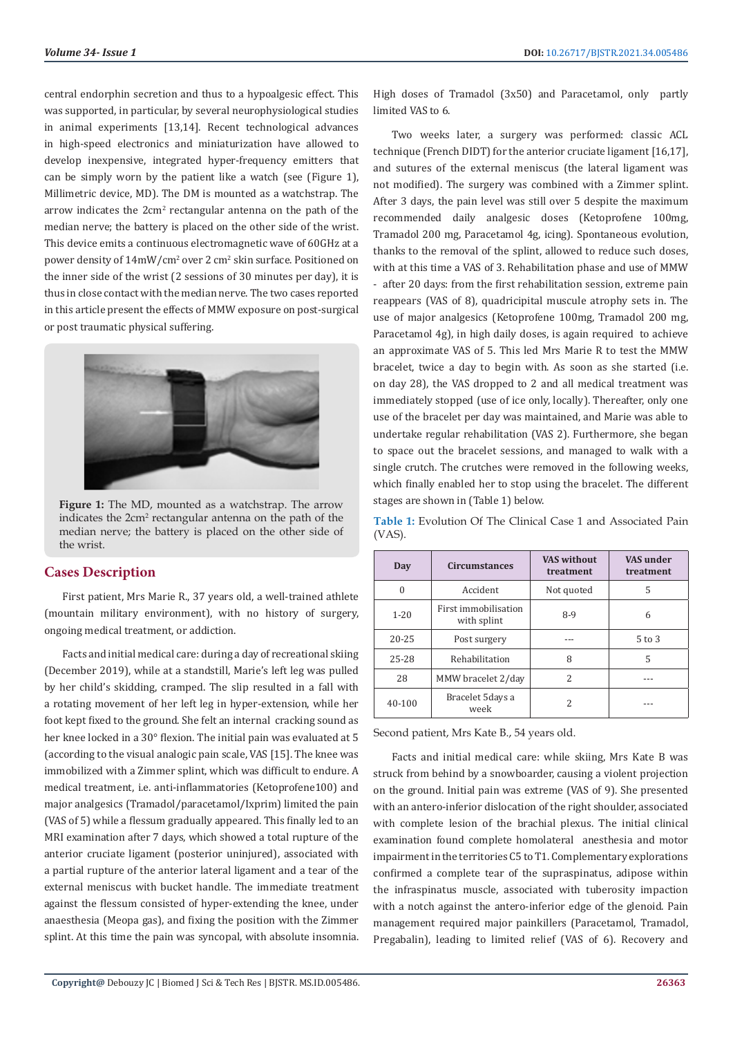central endorphin secretion and thus to a hypoalgesic effect. This was supported, in particular, by several neurophysiological studies in animal experiments [13,14]. Recent technological advances in high-speed electronics and miniaturization have allowed to develop inexpensive, integrated hyper-frequency emitters that can be simply worn by the patient like a watch (see (Figure 1), Millimetric device, MD). The DM is mounted as a watchstrap. The arrow indicates the 2cm<sup>2</sup> rectangular antenna on the path of the median nerve; the battery is placed on the other side of the wrist. This device emits a continuous electromagnetic wave of 60GHz at a power density of  $14\text{mW/cm}^2$  over 2 cm<sup>2</sup> skin surface. Positioned on the inner side of the wrist (2 sessions of 30 minutes per day), it is thus in close contact with the median nerve. The two cases reported in this article present the effects of MMW exposure on post-surgical or post traumatic physical suffering.



**Figure 1:** The MD, mounted as a watchstrap. The arrow indicates the 2cm<sup>2</sup> rectangular antenna on the path of the median nerve; the battery is placed on the other side of the wrist.

# **Cases Description**

First patient, Mrs Marie R., 37 years old, a well-trained athlete (mountain military environment), with no history of surgery, ongoing medical treatment, or addiction.

Facts and initial medical care: during a day of recreational skiing (December 2019), while at a standstill, Marie's left leg was pulled by her child's skidding, cramped. The slip resulted in a fall with a rotating movement of her left leg in hyper-extension, while her foot kept fixed to the ground. She felt an internal cracking sound as her knee locked in a 30° flexion. The initial pain was evaluated at 5 (according to the visual analogic pain scale, VAS [15]. The knee was immobilized with a Zimmer splint, which was difficult to endure. A medical treatment, i.e. anti-inflammatories (Ketoprofene100) and major analgesics (Tramadol/paracetamol/Ixprim) limited the pain (VAS of 5) while a flessum gradually appeared. This finally led to an MRI examination after 7 days, which showed a total rupture of the anterior cruciate ligament (posterior uninjured), associated with a partial rupture of the anterior lateral ligament and a tear of the external meniscus with bucket handle. The immediate treatment against the flessum consisted of hyper-extending the knee, under anaesthesia (Meopa gas), and fixing the position with the Zimmer splint. At this time the pain was syncopal, with absolute insomnia.

High doses of Tramadol (3x50) and Paracetamol, only partly limited VAS to 6.

Two weeks later, a surgery was performed: classic ACL technique (French DIDT) for the anterior cruciate ligament [16,17], and sutures of the external meniscus (the lateral ligament was not modified). The surgery was combined with a Zimmer splint. After 3 days, the pain level was still over 5 despite the maximum recommended daily analgesic doses (Ketoprofene 100mg, Tramadol 200 mg, Paracetamol 4g, icing). Spontaneous evolution, thanks to the removal of the splint, allowed to reduce such doses, with at this time a VAS of 3. Rehabilitation phase and use of MMW - after 20 days: from the first rehabilitation session, extreme pain reappears (VAS of 8), quadricipital muscule atrophy sets in. The use of major analgesics (Ketoprofene 100mg, Tramadol 200 mg, Paracetamol 4g), in high daily doses, is again required to achieve an approximate VAS of 5. This led Mrs Marie R to test the MMW bracelet, twice a day to begin with. As soon as she started (i.e. on day 28), the VAS dropped to 2 and all medical treatment was immediately stopped (use of ice only, locally). Thereafter, only one use of the bracelet per day was maintained, and Marie was able to undertake regular rehabilitation (VAS 2). Furthermore, she began to space out the bracelet sessions, and managed to walk with a single crutch. The crutches were removed in the following weeks, which finally enabled her to stop using the bracelet. The different stages are shown in (Table 1) below.

**Table 1:** Evolution Of The Clinical Case 1 and Associated Pain (VAS).

| Day       | <b>Circumstances</b>                | <b>VAS without</b><br>treatment | VAS under<br>treatment |  |
|-----------|-------------------------------------|---------------------------------|------------------------|--|
| $\Omega$  | Accident                            | Not quoted                      | 5                      |  |
| $1 - 20$  | First immobilisation<br>with splint | $8-9$                           | 6                      |  |
| $20 - 25$ | Post surgery                        |                                 | $5$ to $3$             |  |
| 25-28     | Rehabilitation                      | 8                               | 5                      |  |
| 28        | MMW bracelet 2/day                  | $\mathcal{L}$                   |                        |  |
| 40-100    | Bracelet 5 days a<br>week           | $\overline{\mathcal{L}}$        |                        |  |

Second patient, Mrs Kate B., 54 years old.

Facts and initial medical care: while skiing, Mrs Kate B was struck from behind by a snowboarder, causing a violent projection on the ground. Initial pain was extreme (VAS of 9). She presented with an antero-inferior dislocation of the right shoulder, associated with complete lesion of the brachial plexus. The initial clinical examination found complete homolateral anesthesia and motor impairment in the territories C5 to T1. Complementary explorations confirmed a complete tear of the supraspinatus, adipose within the infraspinatus muscle, associated with tuberosity impaction with a notch against the antero-inferior edge of the glenoid. Pain management required major painkillers (Paracetamol, Tramadol, Pregabalin), leading to limited relief (VAS of 6). Recovery and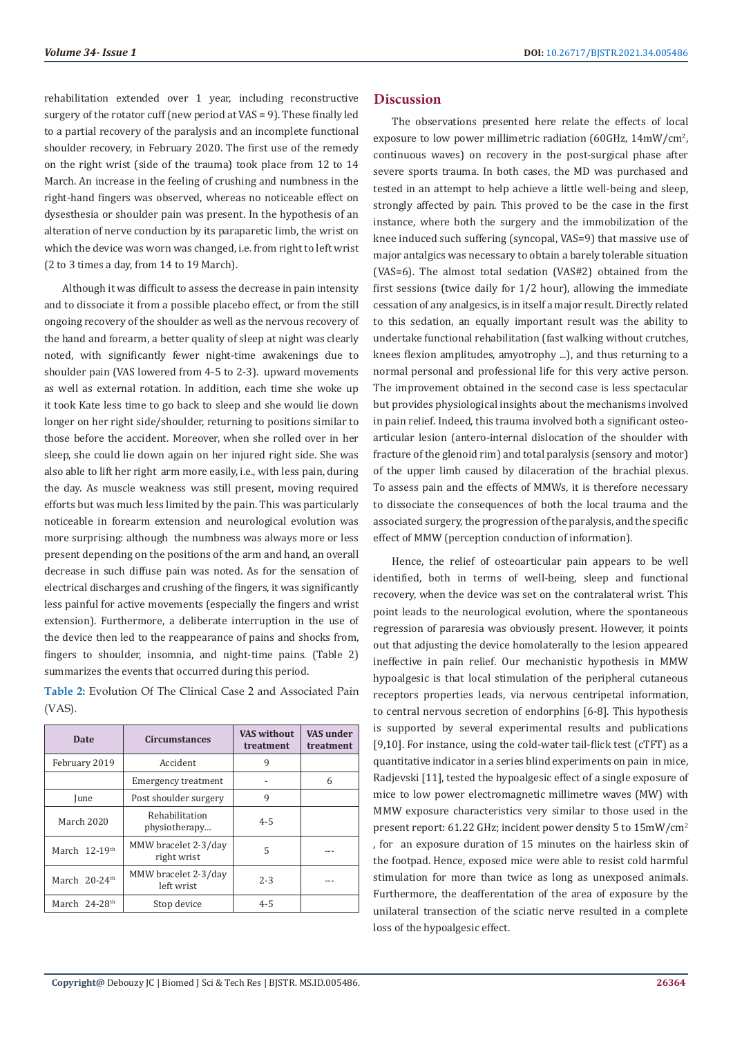rehabilitation extended over 1 year, including reconstructive surgery of the rotator cuff (new period at VAS = 9). These finally led to a partial recovery of the paralysis and an incomplete functional shoulder recovery, in February 2020. The first use of the remedy on the right wrist (side of the trauma) took place from 12 to 14 March. An increase in the feeling of crushing and numbness in the right-hand fingers was observed, whereas no noticeable effect on dysesthesia or shoulder pain was present. In the hypothesis of an alteration of nerve conduction by its paraparetic limb, the wrist on which the device was worn was changed, i.e. from right to left wrist (2 to 3 times a day, from 14 to 19 March).

Although it was difficult to assess the decrease in pain intensity and to dissociate it from a possible placebo effect, or from the still ongoing recovery of the shoulder as well as the nervous recovery of the hand and forearm, a better quality of sleep at night was clearly noted, with significantly fewer night-time awakenings due to shoulder pain (VAS lowered from 4-5 to 2-3). upward movements as well as external rotation. In addition, each time she woke up it took Kate less time to go back to sleep and she would lie down longer on her right side/shoulder, returning to positions similar to those before the accident. Moreover, when she rolled over in her sleep, she could lie down again on her injured right side. She was also able to lift her right arm more easily, i.e., with less pain, during the day. As muscle weakness was still present, moving required efforts but was much less limited by the pain. This was particularly noticeable in forearm extension and neurological evolution was more surprising: although the numbness was always more or less present depending on the positions of the arm and hand, an overall decrease in such diffuse pain was noted. As for the sensation of electrical discharges and crushing of the fingers, it was significantly less painful for active movements (especially the fingers and wrist extension). Furthermore, a deliberate interruption in the use of the device then led to the reappearance of pains and shocks from, fingers to shoulder, insomnia, and night-time pains. (Table 2) summarizes the events that occurred during this period.

**Table 2:** Evolution Of The Clinical Case 2 and Associated Pain (VAS).

| Date                        | <b>Circumstances</b>                | <b>VAS without</b><br>treatment | VAS under<br>treatment |
|-----------------------------|-------------------------------------|---------------------------------|------------------------|
| February 2019               | Accident                            | 9                               |                        |
|                             | Emergency treatment                 |                                 | 6                      |
| June                        | Post shoulder surgery               | 9                               |                        |
| <b>March 2020</b>           | Rehabilitation<br>physiotherapy     | $4 - 5$                         |                        |
| March $12-19$ <sup>th</sup> | MMW bracelet 2-3/day<br>right wrist | 5                               |                        |
| March 20-24th               | MMW bracelet 2-3/day<br>left wrist  | $2 - 3$                         |                        |
| March 24-28 <sup>th</sup>   | Stop device                         | $4 - 5$                         |                        |

### **Discussion**

The observations presented here relate the effects of local exposure to low power millimetric radiation (60GHz,  $14 \text{mW/cm}^2$ , continuous waves) on recovery in the post-surgical phase after severe sports trauma. In both cases, the MD was purchased and tested in an attempt to help achieve a little well-being and sleep, strongly affected by pain. This proved to be the case in the first instance, where both the surgery and the immobilization of the knee induced such suffering (syncopal, VAS=9) that massive use of major antalgics was necessary to obtain a barely tolerable situation (VAS=6). The almost total sedation (VAS#2) obtained from the first sessions (twice daily for 1/2 hour), allowing the immediate cessation of any analgesics, is in itself a major result. Directly related to this sedation, an equally important result was the ability to undertake functional rehabilitation (fast walking without crutches, knees flexion amplitudes, amyotrophy ...), and thus returning to a normal personal and professional life for this very active person. The improvement obtained in the second case is less spectacular but provides physiological insights about the mechanisms involved in pain relief. Indeed, this trauma involved both a significant osteoarticular lesion (antero-internal dislocation of the shoulder with fracture of the glenoid rim) and total paralysis (sensory and motor) of the upper limb caused by dilaceration of the brachial plexus. To assess pain and the effects of MMWs, it is therefore necessary to dissociate the consequences of both the local trauma and the associated surgery, the progression of the paralysis, and the specific effect of MMW (perception conduction of information).

Hence, the relief of osteoarticular pain appears to be well identified, both in terms of well-being, sleep and functional recovery, when the device was set on the contralateral wrist. This point leads to the neurological evolution, where the spontaneous regression of pararesia was obviously present. However, it points out that adjusting the device homolaterally to the lesion appeared ineffective in pain relief. Our mechanistic hypothesis in MMW hypoalgesic is that local stimulation of the peripheral cutaneous receptors properties leads, via nervous centripetal information, to central nervous secretion of endorphins [6-8]. This hypothesis is supported by several experimental results and publications [9,10]. For instance, using the cold-water tail-flick test (cTFT) as a quantitative indicator in a series blind experiments on pain in mice, Radjevski [11], tested the hypoalgesic effect of a single exposure of mice to low power electromagnetic millimetre waves (MW) with MMW exposure characteristics very similar to those used in the present report: 61.22 GHz; incident power density 5 to 15mW/cm2 , for an exposure duration of 15 minutes on the hairless skin of the footpad. Hence, exposed mice were able to resist cold harmful stimulation for more than twice as long as unexposed animals. Furthermore, the deafferentation of the area of exposure by the unilateral transection of the sciatic nerve resulted in a complete loss of the hypoalgesic effect.